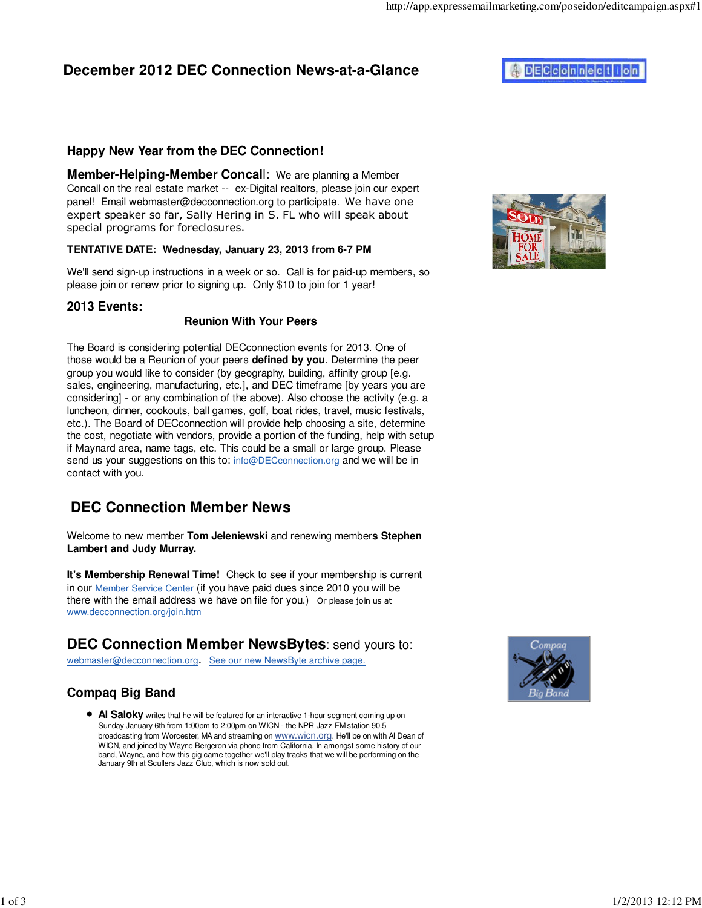# **December 2012 DEC Connection News-at-a-Glance**

### **Happy New Year from the DEC Connection!**

**Member-Helping-Member Concal**l: We are planning a Member Concall on the real estate market -- ex-Digital realtors, please join our expert panel! Email webmaster@decconnection.org to participate. We have one expert speaker so far, Sally Hering in S. FL who will speak about special programs for foreclosures.

#### **TENTATIVE DATE: Wednesday, January 23, 2013 from 6-7 PM**

We'll send sign-up instructions in a week or so. Call is for paid-up members, so please join or renew prior to signing up. Only \$10 to join for 1 year!

#### **2013 Events:**

#### **Reunion With Your Peers**

The Board is considering potential DECconnection events for 2013. One of those would be a Reunion of your peers **defined by you**. Determine the peer group you would like to consider (by geography, building, affinity group [e.g. sales, engineering, manufacturing, etc.], and DEC timeframe [by years you are considering] - or any combination of the above). Also choose the activity (e.g. a luncheon, dinner, cookouts, ball games, golf, boat rides, travel, music festivals, etc.). The Board of DECconnection will provide help choosing a site, determine the cost, negotiate with vendors, provide a portion of the funding, help with setup if Maynard area, name tags, etc. This could be a small or large group. Please send us your suggestions on this to: info@DECconnection.org and we will be in contact with you.

# **DEC Connection Member News**

Welcome to new member **Tom Jeleniewski** and renewing member**s Stephen Lambert and Judy Murray.**

**It's Membership Renewal Time!** Check to see if your membership is current in our Member Service Center (if you have paid dues since 2010 you will be there with the email address we have on file for you.) Or please join us at www.decconnection.org/join.htm

## **DEC Connection Member NewsBytes**: send yours to:

webmaster@decconnection.org. See our new NewsByte archive page.

## **Compaq Big Band**

**Al Saloky** writes that he will be featured for an interactive 1-hour segment coming up on Sunday January 6th from 1:00pm to 2:00pm on WICN - the NPR Jazz FM station 90.5 broadcasting from Worcester, MA and streaming on **WWW.Wicn.org**. He'll be on with Al Dean of WICN, and joined by Wayne Bergeron via phone from California. In amongst some history of our band, Wayne, and how this gig came together we'll play tracks that we will be performing on the January 9th at Scullers Jazz Club, which is now sold out.







# **DECconnection**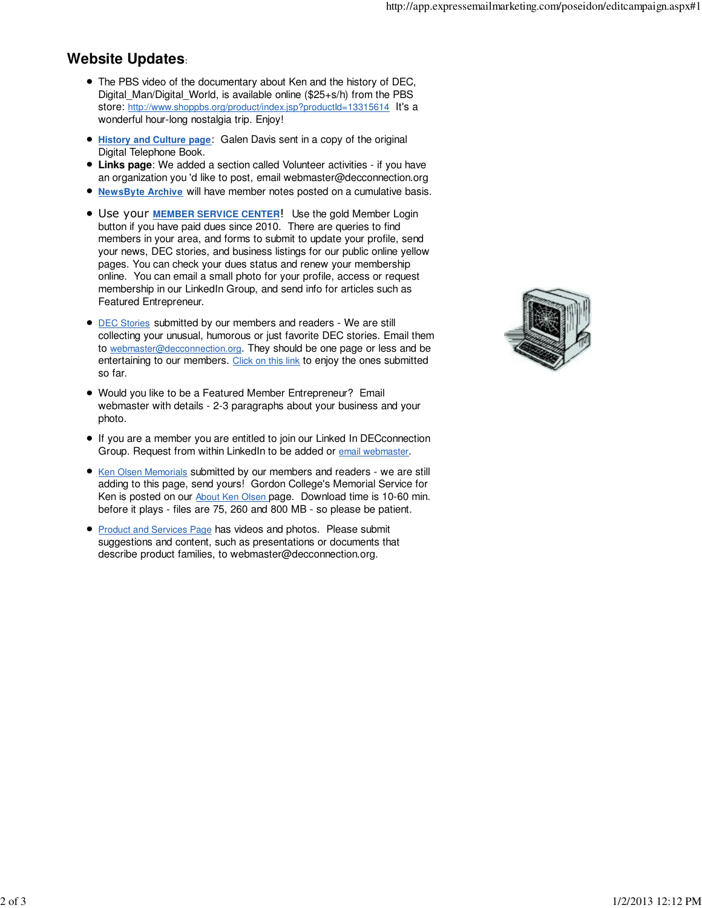### **Website Updates**:

- The PBS video of the documentary about Ken and the history of DEC, Digital\_Man/Digital\_World, is available online (\$25+s/h) from the PBS store: http://www.shoppbs.org/product/index.jsp?productId=13315614 It's a wonderful hour-long nostalgia trip. Enjoy!
- $\bullet$ **History and Culture page**: Galen Davis sent in a copy of the original Digital Telephone Book.
- **Links page**: We added a section called Volunteer activities if you have an organization you 'd like to post, email webmaster@decconnection.org
- **NewsByte Archive** will have member notes posted on a cumulative basis.
- Use your **MEMBER SERVICE CENTER**! Use the gold Member Login button if you have paid dues since 2010. There are queries to find members in your area, and forms to submit to update your profile, send your news, DEC stories, and business listings for our public online yellow pages. You can check your dues status and renew your membership online. You can email a small photo for your profile, access or request membership in our LinkedIn Group, and send info for articles such as Featured Entrepreneur.
- **DEC Stories submitted by our members and readers We are still** collecting your unusual, humorous or just favorite DEC stories. Email them to webmaster@decconnection.org. They should be one page or less and be entertaining to our members. Click on this link to enjoy the ones submitted so far.
- Would you like to be a Featured Member Entrepreneur? Email webmaster with details - 2-3 paragraphs about your business and your photo.
- If you are a member you are entitled to join our Linked In DECconnection Group. Request from within LinkedIn to be added or email webmaster.
- Ken Olsen Memorials submitted by our members and readers we are still adding to this page, send yours! Gordon College's Memorial Service for Ken is posted on our **About Ken Olsen page.** Download time is 10-60 min. before it plays - files are 75, 260 and 800 MB - so please be patient.
- **Product and Services Page has videos and photos. Please submit** suggestions and content, such as presentations or documents that describe product families, to webmaster@decconnection.org.